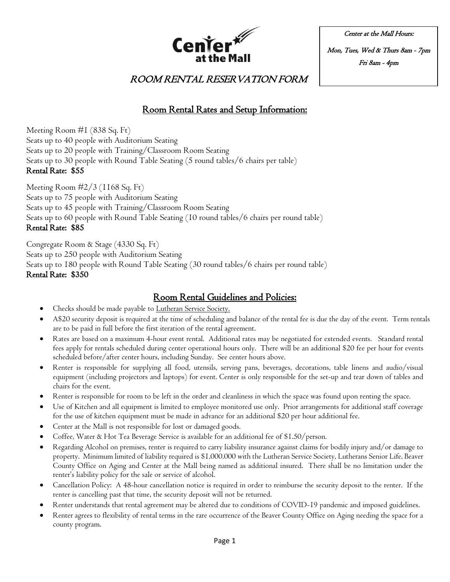

Center at the Mall Hours: Mon, Tues, Wed & Thurs 8am - 7pm Fri 8am - 4pm

ROOM RENTAL RESERVATION FORM

## Room Rental Rates and Setup Information:

Meeting Room #1 (838 Sq. Ft) Seats up to 40 people with Auditorium Seating Seats up to 20 people with Training/Classroom Room Seating Seats up to 30 people with Round Table Seating (5 round tables/6 chairs per table) Rental Rate: \$55

Meeting Room #2/3 (1168 Sq. Ft) Seats up to 75 people with Auditorium Seating Seats up to 45 people with Training/Classroom Room Seating Seats up to 60 people with Round Table Seating (10 round tables/6 chairs per round table) Rental Rate: \$85

Congregate Room & Stage (4330 Sq. Ft) Seats up to 250 people with Auditorium Seating Seats up to 180 people with Round Table Seating (30 round tables/6 chairs per round table) Rental Rate: \$350

## Room Rental Guidelines and Policies:

- Checks should be made payable to Lutheran Service Society.
- A\$20 security deposit is required at the time of scheduling and balance of the rental fee is due the day of the event. Term rentals are to be paid in full before the first iteration of the rental agreement.
- Rates are based on a maximum 4-hour event rental. Additional rates may be negotiated for extended events. Standard rental fees apply for rentals scheduled during center operational hours only. There will be an additional \$20 fee per hour for events scheduled before/after center hours, including Sunday. See center hours above.
- Renter is responsible for supplying all food, utensils, serving pans, beverages, decorations, table linens and audio/visual equipment (including projectors and laptops) for event. Center is only responsible for the set-up and tear down of tables and chairs for the event.
- Renter is responsible for room to be left in the order and cleanliness in which the space was found upon renting the space.
- Use of Kitchen and all equipment is limited to employee monitored use only. Prior arrangements for additional staff coverage for the use of kitchen equipment must be made in advance for an additional \$20 per hour additional fee.
- Center at the Mall is not responsible for lost or damaged goods.
- Coffee, Water & Hot Tea Beverage Service is available for an additional fee of \$1.50/person.
- Regarding Alcohol on premises, renter is required to carry liability insurance against claims for bodily injury and/or damage to property. Minimum limited of liability required is \$1,000.000 with the Lutheran Service Society, Lutherans Senior Life, Beaver County Office on Aging and Center at the Mall being named as additional insured. There shall be no limitation under the renter's liability policy for the sale or service of alcohol.
- Cancellation Policy: A 48-hour cancellation notice is required in order to reimburse the security deposit to the renter. If the renter is cancelling past that time, the security deposit will not be returned.
- Renter understands that rental agreement may be altered due to conditions of COVID-19 pandemic and imposed guidelines.
- Renter agrees to flexibility of rental terms in the rare occurrence of the Beaver County Office on Aging needing the space for a county program.